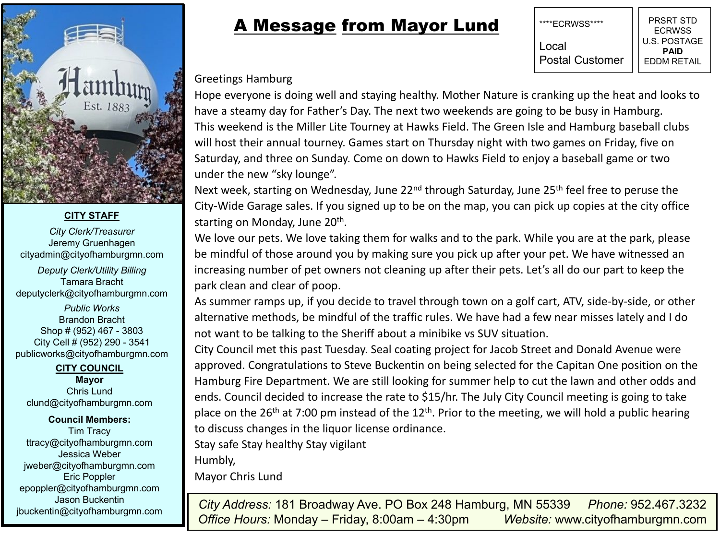

## **CITY STAFF**

*City Clerk/Treasurer* Jeremy Gruenhagen cityadmin@cityofhamburgmn.com

*Deputy Clerk/Utility Billing* Tamara Bracht deputyclerk@cityofhamburgmn.com *Public Works* Brandon Bracht Shop # (952) 467 - 3803 City Cell # (952) 290 - 3541 publicworks@cityofhamburgmn.com

## **CITY COUNCIL Mayor**

Chris Lund clund@cityofhamburgmn.com

## **Council Members:** Tim Tracy

ttracy@cityofhamburgmn.com Jessica Weber jweber@cityofhamburgmn.com Eric Poppler epoppler@cityofhamburgmn.com Jason Buckentin jbuckentin@cityofhamburgmn.com

## A Message from Mayor Lund

PRSRT STD **ECRWSS** U.S. POSTAGE **PAID** EDDM RETAIL \*\*\*\*ECRWSS\*\*\*\* Local Postal Customer

Greetings Hamburg

Hope everyone is doing well and staying healthy. Mother Nature is cranking up the heat and looks to have a steamy day for Father's Day. The next two weekends are going to be busy in Hamburg. This weekend is the Miller Lite Tourney at Hawks Field. The Green Isle and Hamburg baseball clubs will host their annual tourney. Games start on Thursday night with two games on Friday, five on Saturday, and three on Sunday. Come on down to Hawks Field to enjoy a baseball game or two under the new "sky lounge".

Next week, starting on Wednesday, June 22<sup>nd</sup> through Saturday, June 25<sup>th</sup> feel free to peruse the City-Wide Garage sales. If you signed up to be on the map, you can pick up copies at the city office starting on Monday, June 20<sup>th</sup>.

We love our pets. We love taking them for walks and to the park. While you are at the park, please be mindful of those around you by making sure you pick up after your pet. We have witnessed an increasing number of pet owners not cleaning up after their pets. Let's all do our part to keep the park clean and clear of poop.

As summer ramps up, if you decide to travel through town on a golf cart, ATV, side-by-side, or other alternative methods, be mindful of the traffic rules. We have had a few near misses lately and I do not want to be talking to the Sheriff about a minibike vs SUV situation.

City Council met this past Tuesday. Seal coating project for Jacob Street and Donald Avenue were approved. Congratulations to Steve Buckentin on being selected for the Capitan One position on the Hamburg Fire Department. We are still looking for summer help to cut the lawn and other odds and ends. Council decided to increase the rate to \$15/hr. The July City Council meeting is going to take place on the 26<sup>th</sup> at 7:00 pm instead of the 12<sup>th</sup>. Prior to the meeting, we will hold a public hearing to discuss changes in the liquor license ordinance.

Stay safe Stay healthy Stay vigilant

Humbly,

Mayor Chris Lund

*City Address:* 181 Broadway Ave. PO Box 248 Hamburg, MN 55339 *Phone:* 952.467.3232 *Office Hours:* Monday – Friday, 8:00am – 4:30pm *Website:* www.cityofhamburgmn.com